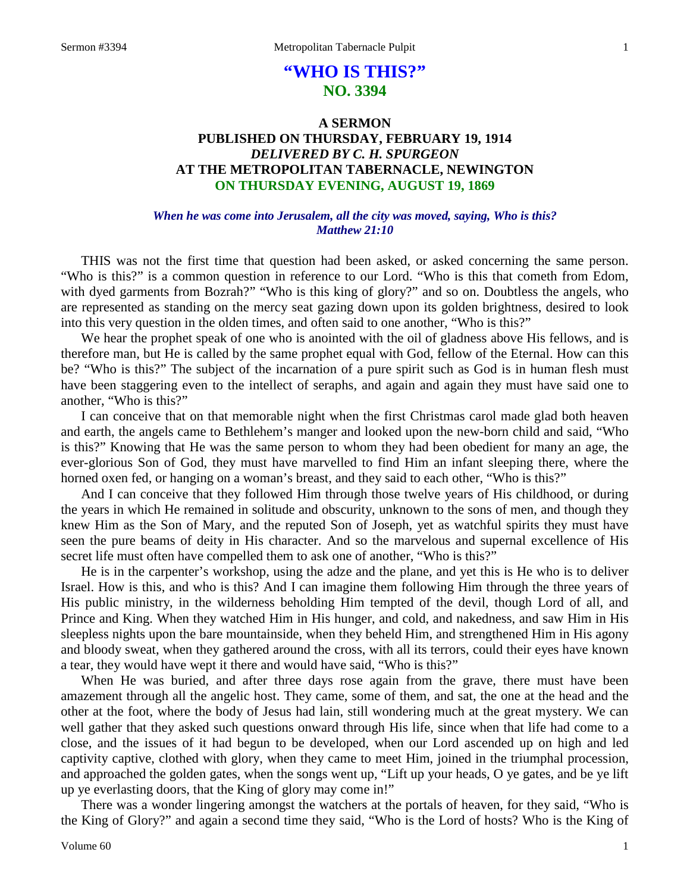# **"WHO IS THIS?" NO. 3394**

## **A SERMON PUBLISHED ON THURSDAY, FEBRUARY 19, 1914** *DELIVERED BY C. H. SPURGEON* **AT THE METROPOLITAN TABERNACLE, NEWINGTON ON THURSDAY EVENING, AUGUST 19, 1869**

#### *When he was come into Jerusalem, all the city was moved, saying, Who is this? Matthew 21:10*

THIS was not the first time that question had been asked, or asked concerning the same person. "Who is this?" is a common question in reference to our Lord. "Who is this that cometh from Edom, with dyed garments from Bozrah?" "Who is this king of glory?" and so on. Doubtless the angels, who are represented as standing on the mercy seat gazing down upon its golden brightness, desired to look into this very question in the olden times, and often said to one another, "Who is this?"

We hear the prophet speak of one who is anointed with the oil of gladness above His fellows, and is therefore man, but He is called by the same prophet equal with God, fellow of the Eternal. How can this be? "Who is this?" The subject of the incarnation of a pure spirit such as God is in human flesh must have been staggering even to the intellect of seraphs, and again and again they must have said one to another, "Who is this?"

I can conceive that on that memorable night when the first Christmas carol made glad both heaven and earth, the angels came to Bethlehem's manger and looked upon the new-born child and said, "Who is this?" Knowing that He was the same person to whom they had been obedient for many an age, the ever-glorious Son of God, they must have marvelled to find Him an infant sleeping there, where the horned oxen fed, or hanging on a woman's breast, and they said to each other, "Who is this?"

And I can conceive that they followed Him through those twelve years of His childhood, or during the years in which He remained in solitude and obscurity, unknown to the sons of men, and though they knew Him as the Son of Mary, and the reputed Son of Joseph, yet as watchful spirits they must have seen the pure beams of deity in His character. And so the marvelous and supernal excellence of His secret life must often have compelled them to ask one of another, "Who is this?"

He is in the carpenter's workshop, using the adze and the plane, and yet this is He who is to deliver Israel. How is this, and who is this? And I can imagine them following Him through the three years of His public ministry, in the wilderness beholding Him tempted of the devil, though Lord of all, and Prince and King. When they watched Him in His hunger, and cold, and nakedness, and saw Him in His sleepless nights upon the bare mountainside, when they beheld Him, and strengthened Him in His agony and bloody sweat, when they gathered around the cross, with all its terrors, could their eyes have known a tear, they would have wept it there and would have said, "Who is this?"

When He was buried, and after three days rose again from the grave, there must have been amazement through all the angelic host. They came, some of them, and sat, the one at the head and the other at the foot, where the body of Jesus had lain, still wondering much at the great mystery. We can well gather that they asked such questions onward through His life, since when that life had come to a close, and the issues of it had begun to be developed, when our Lord ascended up on high and led captivity captive, clothed with glory, when they came to meet Him, joined in the triumphal procession, and approached the golden gates, when the songs went up, "Lift up your heads, O ye gates, and be ye lift up ye everlasting doors, that the King of glory may come in!"

There was a wonder lingering amongst the watchers at the portals of heaven, for they said, "Who is the King of Glory?" and again a second time they said, "Who is the Lord of hosts? Who is the King of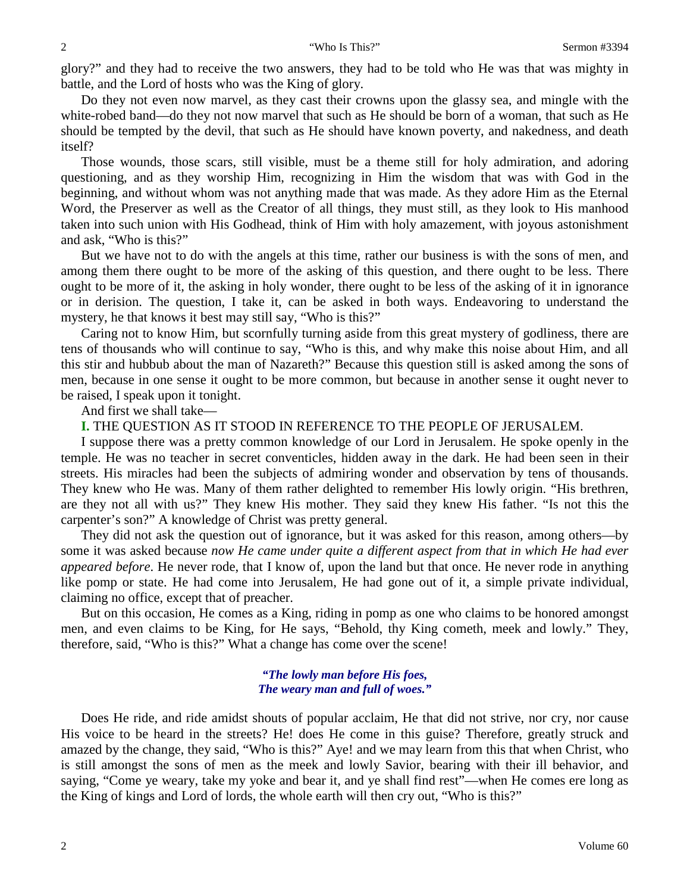glory?" and they had to receive the two answers, they had to be told who He was that was mighty in battle, and the Lord of hosts who was the King of glory.

Do they not even now marvel, as they cast their crowns upon the glassy sea, and mingle with the white-robed band—do they not now marvel that such as He should be born of a woman, that such as He should be tempted by the devil, that such as He should have known poverty, and nakedness, and death itself?

Those wounds, those scars, still visible, must be a theme still for holy admiration, and adoring questioning, and as they worship Him, recognizing in Him the wisdom that was with God in the beginning, and without whom was not anything made that was made. As they adore Him as the Eternal Word, the Preserver as well as the Creator of all things, they must still, as they look to His manhood taken into such union with His Godhead, think of Him with holy amazement, with joyous astonishment and ask, "Who is this?"

But we have not to do with the angels at this time, rather our business is with the sons of men, and among them there ought to be more of the asking of this question, and there ought to be less. There ought to be more of it, the asking in holy wonder, there ought to be less of the asking of it in ignorance or in derision. The question, I take it, can be asked in both ways. Endeavoring to understand the mystery, he that knows it best may still say, "Who is this?"

Caring not to know Him, but scornfully turning aside from this great mystery of godliness, there are tens of thousands who will continue to say, "Who is this, and why make this noise about Him, and all this stir and hubbub about the man of Nazareth?" Because this question still is asked among the sons of men, because in one sense it ought to be more common, but because in another sense it ought never to be raised, I speak upon it tonight.

And first we shall take—

**I.** THE QUESTION AS IT STOOD IN REFERENCE TO THE PEOPLE OF JERUSALEM.

I suppose there was a pretty common knowledge of our Lord in Jerusalem. He spoke openly in the temple. He was no teacher in secret conventicles, hidden away in the dark. He had been seen in their streets. His miracles had been the subjects of admiring wonder and observation by tens of thousands. They knew who He was. Many of them rather delighted to remember His lowly origin. "His brethren, are they not all with us?" They knew His mother. They said they knew His father. "Is not this the carpenter's son?" A knowledge of Christ was pretty general.

They did not ask the question out of ignorance, but it was asked for this reason, among others—by some it was asked because *now He came under quite a different aspect from that in which He had ever appeared before*. He never rode, that I know of, upon the land but that once. He never rode in anything like pomp or state. He had come into Jerusalem, He had gone out of it, a simple private individual, claiming no office, except that of preacher.

But on this occasion, He comes as a King, riding in pomp as one who claims to be honored amongst men, and even claims to be King, for He says, "Behold, thy King cometh, meek and lowly." They, therefore, said, "Who is this?" What a change has come over the scene!

#### *"The lowly man before His foes, The weary man and full of woes."*

Does He ride, and ride amidst shouts of popular acclaim, He that did not strive, nor cry, nor cause His voice to be heard in the streets? He! does He come in this guise? Therefore, greatly struck and amazed by the change, they said, "Who is this?" Aye! and we may learn from this that when Christ, who is still amongst the sons of men as the meek and lowly Savior, bearing with their ill behavior, and saying, "Come ye weary, take my yoke and bear it, and ye shall find rest"—when He comes ere long as the King of kings and Lord of lords, the whole earth will then cry out, "Who is this?"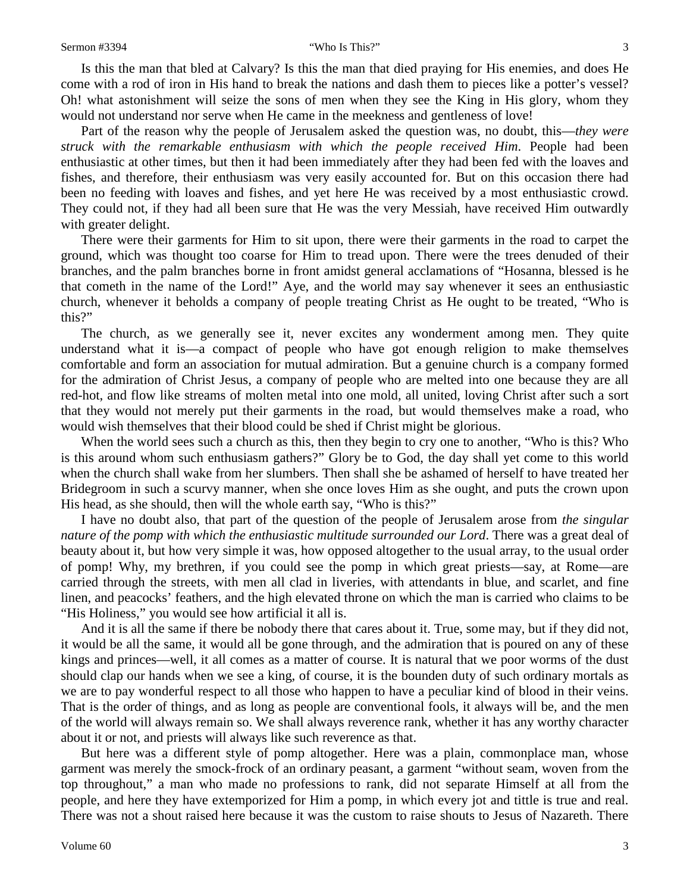Is this the man that bled at Calvary? Is this the man that died praying for His enemies, and does He come with a rod of iron in His hand to break the nations and dash them to pieces like a potter's vessel? Oh! what astonishment will seize the sons of men when they see the King in His glory, whom they would not understand nor serve when He came in the meekness and gentleness of love!

Part of the reason why the people of Jerusalem asked the question was, no doubt, this—*they were struck with the remarkable enthusiasm with which the people received Him*. People had been enthusiastic at other times, but then it had been immediately after they had been fed with the loaves and fishes, and therefore, their enthusiasm was very easily accounted for. But on this occasion there had been no feeding with loaves and fishes, and yet here He was received by a most enthusiastic crowd. They could not, if they had all been sure that He was the very Messiah, have received Him outwardly with greater delight.

There were their garments for Him to sit upon, there were their garments in the road to carpet the ground, which was thought too coarse for Him to tread upon. There were the trees denuded of their branches, and the palm branches borne in front amidst general acclamations of "Hosanna, blessed is he that cometh in the name of the Lord!" Aye, and the world may say whenever it sees an enthusiastic church, whenever it beholds a company of people treating Christ as He ought to be treated, "Who is this?"

The church, as we generally see it, never excites any wonderment among men. They quite understand what it is—a compact of people who have got enough religion to make themselves comfortable and form an association for mutual admiration. But a genuine church is a company formed for the admiration of Christ Jesus, a company of people who are melted into one because they are all red-hot, and flow like streams of molten metal into one mold, all united, loving Christ after such a sort that they would not merely put their garments in the road, but would themselves make a road, who would wish themselves that their blood could be shed if Christ might be glorious.

When the world sees such a church as this, then they begin to cry one to another, "Who is this? Who is this around whom such enthusiasm gathers?" Glory be to God, the day shall yet come to this world when the church shall wake from her slumbers. Then shall she be ashamed of herself to have treated her Bridegroom in such a scurvy manner, when she once loves Him as she ought, and puts the crown upon His head, as she should, then will the whole earth say, "Who is this?"

I have no doubt also, that part of the question of the people of Jerusalem arose from *the singular nature of the pomp with which the enthusiastic multitude surrounded our Lord*. There was a great deal of beauty about it, but how very simple it was, how opposed altogether to the usual array, to the usual order of pomp! Why, my brethren, if you could see the pomp in which great priests—say, at Rome—are carried through the streets, with men all clad in liveries, with attendants in blue, and scarlet, and fine linen, and peacocks' feathers, and the high elevated throne on which the man is carried who claims to be "His Holiness," you would see how artificial it all is.

And it is all the same if there be nobody there that cares about it. True, some may, but if they did not, it would be all the same, it would all be gone through, and the admiration that is poured on any of these kings and princes—well, it all comes as a matter of course. It is natural that we poor worms of the dust should clap our hands when we see a king, of course, it is the bounden duty of such ordinary mortals as we are to pay wonderful respect to all those who happen to have a peculiar kind of blood in their veins. That is the order of things, and as long as people are conventional fools, it always will be, and the men of the world will always remain so. We shall always reverence rank, whether it has any worthy character about it or not, and priests will always like such reverence as that.

But here was a different style of pomp altogether. Here was a plain, commonplace man, whose garment was merely the smock-frock of an ordinary peasant, a garment "without seam, woven from the top throughout," a man who made no professions to rank, did not separate Himself at all from the people, and here they have extemporized for Him a pomp, in which every jot and tittle is true and real. There was not a shout raised here because it was the custom to raise shouts to Jesus of Nazareth. There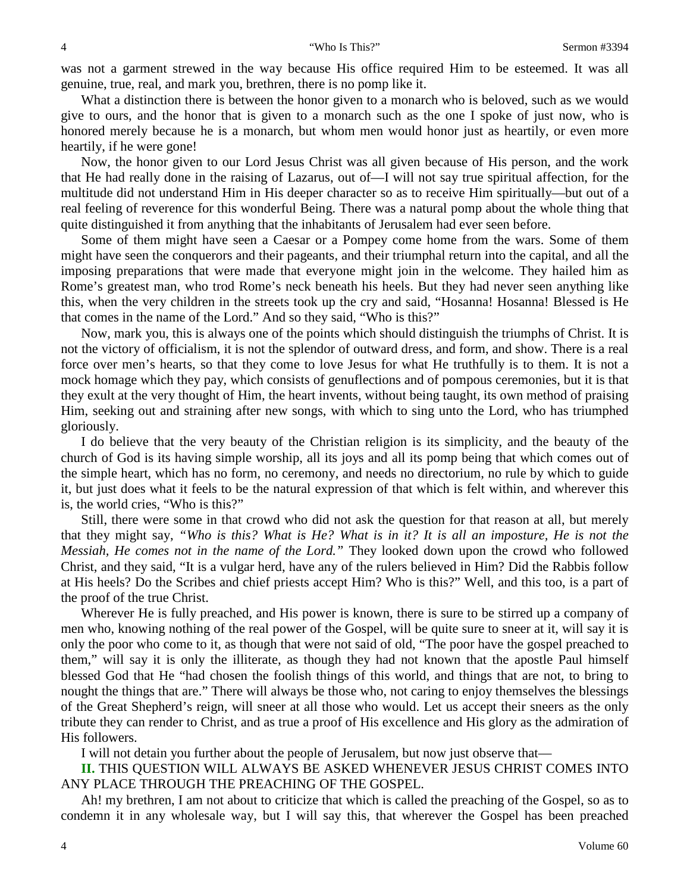was not a garment strewed in the way because His office required Him to be esteemed. It was all genuine, true, real, and mark you, brethren, there is no pomp like it.

What a distinction there is between the honor given to a monarch who is beloved, such as we would give to ours, and the honor that is given to a monarch such as the one I spoke of just now, who is honored merely because he is a monarch, but whom men would honor just as heartily, or even more heartily, if he were gone!

Now, the honor given to our Lord Jesus Christ was all given because of His person, and the work that He had really done in the raising of Lazarus, out of—I will not say true spiritual affection, for the multitude did not understand Him in His deeper character so as to receive Him spiritually—but out of a real feeling of reverence for this wonderful Being. There was a natural pomp about the whole thing that quite distinguished it from anything that the inhabitants of Jerusalem had ever seen before.

Some of them might have seen a Caesar or a Pompey come home from the wars. Some of them might have seen the conquerors and their pageants, and their triumphal return into the capital, and all the imposing preparations that were made that everyone might join in the welcome. They hailed him as Rome's greatest man, who trod Rome's neck beneath his heels. But they had never seen anything like this, when the very children in the streets took up the cry and said, "Hosanna! Hosanna! Blessed is He that comes in the name of the Lord." And so they said, "Who is this?"

Now, mark you, this is always one of the points which should distinguish the triumphs of Christ. It is not the victory of officialism, it is not the splendor of outward dress, and form, and show. There is a real force over men's hearts, so that they come to love Jesus for what He truthfully is to them. It is not a mock homage which they pay, which consists of genuflections and of pompous ceremonies, but it is that they exult at the very thought of Him, the heart invents, without being taught, its own method of praising Him, seeking out and straining after new songs, with which to sing unto the Lord, who has triumphed gloriously.

I do believe that the very beauty of the Christian religion is its simplicity, and the beauty of the church of God is its having simple worship, all its joys and all its pomp being that which comes out of the simple heart, which has no form, no ceremony, and needs no directorium, no rule by which to guide it, but just does what it feels to be the natural expression of that which is felt within, and wherever this is, the world cries, "Who is this?"

Still, there were some in that crowd who did not ask the question for that reason at all, but merely that they might say, *"Who is this? What is He? What is in it? It is all an imposture, He is not the Messiah, He comes not in the name of the Lord."* They looked down upon the crowd who followed Christ, and they said, "It is a vulgar herd, have any of the rulers believed in Him? Did the Rabbis follow at His heels? Do the Scribes and chief priests accept Him? Who is this?" Well, and this too, is a part of the proof of the true Christ.

Wherever He is fully preached, and His power is known, there is sure to be stirred up a company of men who, knowing nothing of the real power of the Gospel, will be quite sure to sneer at it, will say it is only the poor who come to it, as though that were not said of old, "The poor have the gospel preached to them," will say it is only the illiterate, as though they had not known that the apostle Paul himself blessed God that He "had chosen the foolish things of this world, and things that are not, to bring to nought the things that are." There will always be those who, not caring to enjoy themselves the blessings of the Great Shepherd's reign, will sneer at all those who would. Let us accept their sneers as the only tribute they can render to Christ, and as true a proof of His excellence and His glory as the admiration of His followers.

I will not detain you further about the people of Jerusalem, but now just observe that—

**II.** THIS QUESTION WILL ALWAYS BE ASKED WHENEVER JESUS CHRIST COMES INTO ANY PLACE THROUGH THE PREACHING OF THE GOSPEL.

Ah! my brethren, I am not about to criticize that which is called the preaching of the Gospel, so as to condemn it in any wholesale way, but I will say this, that wherever the Gospel has been preached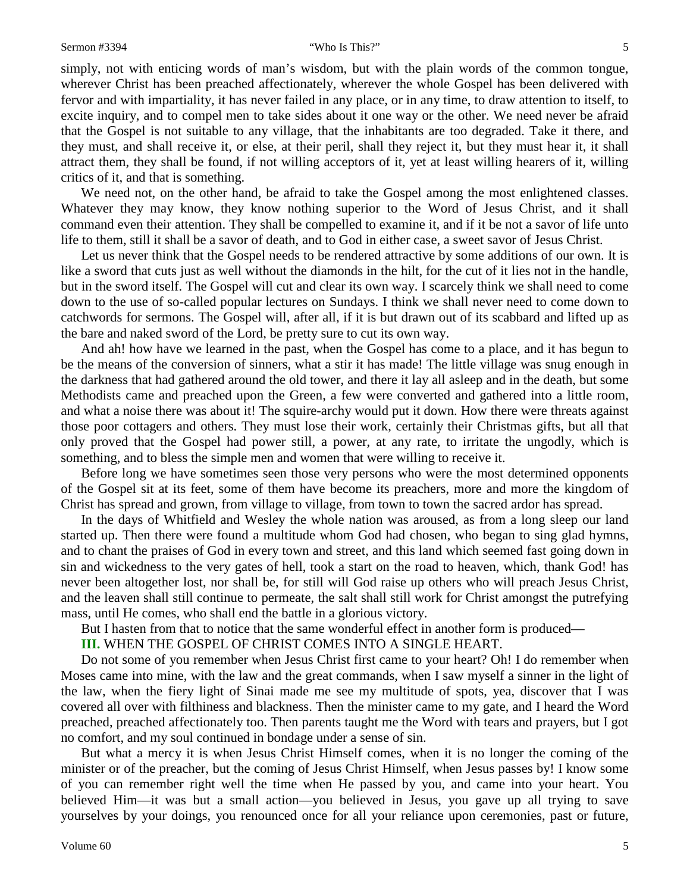simply, not with enticing words of man's wisdom, but with the plain words of the common tongue, wherever Christ has been preached affectionately, wherever the whole Gospel has been delivered with fervor and with impartiality, it has never failed in any place, or in any time, to draw attention to itself, to excite inquiry, and to compel men to take sides about it one way or the other. We need never be afraid that the Gospel is not suitable to any village, that the inhabitants are too degraded. Take it there, and they must, and shall receive it, or else, at their peril, shall they reject it, but they must hear it, it shall attract them, they shall be found, if not willing acceptors of it, yet at least willing hearers of it, willing critics of it, and that is something.

We need not, on the other hand, be afraid to take the Gospel among the most enlightened classes. Whatever they may know, they know nothing superior to the Word of Jesus Christ, and it shall command even their attention. They shall be compelled to examine it, and if it be not a savor of life unto life to them, still it shall be a savor of death, and to God in either case, a sweet savor of Jesus Christ.

Let us never think that the Gospel needs to be rendered attractive by some additions of our own. It is like a sword that cuts just as well without the diamonds in the hilt, for the cut of it lies not in the handle, but in the sword itself. The Gospel will cut and clear its own way. I scarcely think we shall need to come down to the use of so-called popular lectures on Sundays. I think we shall never need to come down to catchwords for sermons. The Gospel will, after all, if it is but drawn out of its scabbard and lifted up as the bare and naked sword of the Lord, be pretty sure to cut its own way.

And ah! how have we learned in the past, when the Gospel has come to a place, and it has begun to be the means of the conversion of sinners, what a stir it has made! The little village was snug enough in the darkness that had gathered around the old tower, and there it lay all asleep and in the death, but some Methodists came and preached upon the Green, a few were converted and gathered into a little room, and what a noise there was about it! The squire-archy would put it down. How there were threats against those poor cottagers and others. They must lose their work, certainly their Christmas gifts, but all that only proved that the Gospel had power still, a power, at any rate, to irritate the ungodly, which is something, and to bless the simple men and women that were willing to receive it.

Before long we have sometimes seen those very persons who were the most determined opponents of the Gospel sit at its feet, some of them have become its preachers, more and more the kingdom of Christ has spread and grown, from village to village, from town to town the sacred ardor has spread.

In the days of Whitfield and Wesley the whole nation was aroused, as from a long sleep our land started up. Then there were found a multitude whom God had chosen, who began to sing glad hymns, and to chant the praises of God in every town and street, and this land which seemed fast going down in sin and wickedness to the very gates of hell, took a start on the road to heaven, which, thank God! has never been altogether lost, nor shall be, for still will God raise up others who will preach Jesus Christ, and the leaven shall still continue to permeate, the salt shall still work for Christ amongst the putrefying mass, until He comes, who shall end the battle in a glorious victory.

But I hasten from that to notice that the same wonderful effect in another form is produced—

### **III.** WHEN THE GOSPEL OF CHRIST COMES INTO A SINGLE HEART.

Do not some of you remember when Jesus Christ first came to your heart? Oh! I do remember when Moses came into mine, with the law and the great commands, when I saw myself a sinner in the light of the law, when the fiery light of Sinai made me see my multitude of spots, yea, discover that I was covered all over with filthiness and blackness. Then the minister came to my gate, and I heard the Word preached, preached affectionately too. Then parents taught me the Word with tears and prayers, but I got no comfort, and my soul continued in bondage under a sense of sin.

But what a mercy it is when Jesus Christ Himself comes, when it is no longer the coming of the minister or of the preacher, but the coming of Jesus Christ Himself, when Jesus passes by! I know some of you can remember right well the time when He passed by you, and came into your heart. You believed Him—it was but a small action—you believed in Jesus, you gave up all trying to save yourselves by your doings, you renounced once for all your reliance upon ceremonies, past or future,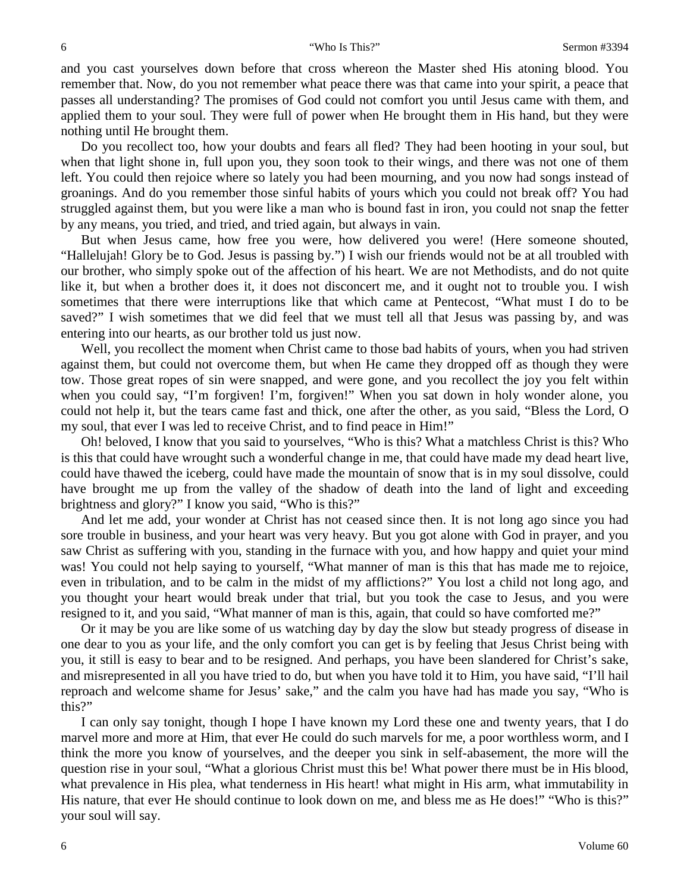and you cast yourselves down before that cross whereon the Master shed His atoning blood. You remember that. Now, do you not remember what peace there was that came into your spirit, a peace that passes all understanding? The promises of God could not comfort you until Jesus came with them, and applied them to your soul. They were full of power when He brought them in His hand, but they were nothing until He brought them.

Do you recollect too, how your doubts and fears all fled? They had been hooting in your soul, but when that light shone in, full upon you, they soon took to their wings, and there was not one of them left. You could then rejoice where so lately you had been mourning, and you now had songs instead of groanings. And do you remember those sinful habits of yours which you could not break off? You had struggled against them, but you were like a man who is bound fast in iron, you could not snap the fetter by any means, you tried, and tried, and tried again, but always in vain.

But when Jesus came, how free you were, how delivered you were! (Here someone shouted, "Hallelujah! Glory be to God. Jesus is passing by.") I wish our friends would not be at all troubled with our brother, who simply spoke out of the affection of his heart. We are not Methodists, and do not quite like it, but when a brother does it, it does not disconcert me, and it ought not to trouble you. I wish sometimes that there were interruptions like that which came at Pentecost, "What must I do to be saved?" I wish sometimes that we did feel that we must tell all that Jesus was passing by, and was entering into our hearts, as our brother told us just now.

Well, you recollect the moment when Christ came to those bad habits of yours, when you had striven against them, but could not overcome them, but when He came they dropped off as though they were tow. Those great ropes of sin were snapped, and were gone, and you recollect the joy you felt within when you could say, "I'm forgiven! I'm, forgiven!" When you sat down in holy wonder alone, you could not help it, but the tears came fast and thick, one after the other, as you said, "Bless the Lord, O my soul, that ever I was led to receive Christ, and to find peace in Him!"

Oh! beloved, I know that you said to yourselves, "Who is this? What a matchless Christ is this? Who is this that could have wrought such a wonderful change in me, that could have made my dead heart live, could have thawed the iceberg, could have made the mountain of snow that is in my soul dissolve, could have brought me up from the valley of the shadow of death into the land of light and exceeding brightness and glory?" I know you said, "Who is this?"

And let me add, your wonder at Christ has not ceased since then. It is not long ago since you had sore trouble in business, and your heart was very heavy. But you got alone with God in prayer, and you saw Christ as suffering with you, standing in the furnace with you, and how happy and quiet your mind was! You could not help saying to yourself, "What manner of man is this that has made me to rejoice, even in tribulation, and to be calm in the midst of my afflictions?" You lost a child not long ago, and you thought your heart would break under that trial, but you took the case to Jesus, and you were resigned to it, and you said, "What manner of man is this, again, that could so have comforted me?"

Or it may be you are like some of us watching day by day the slow but steady progress of disease in one dear to you as your life, and the only comfort you can get is by feeling that Jesus Christ being with you, it still is easy to bear and to be resigned. And perhaps, you have been slandered for Christ's sake, and misrepresented in all you have tried to do, but when you have told it to Him, you have said, "I'll hail reproach and welcome shame for Jesus' sake," and the calm you have had has made you say, "Who is this?"

I can only say tonight, though I hope I have known my Lord these one and twenty years, that I do marvel more and more at Him, that ever He could do such marvels for me, a poor worthless worm, and I think the more you know of yourselves, and the deeper you sink in self-abasement, the more will the question rise in your soul, "What a glorious Christ must this be! What power there must be in His blood, what prevalence in His plea, what tenderness in His heart! what might in His arm, what immutability in His nature, that ever He should continue to look down on me, and bless me as He does!" "Who is this?" your soul will say.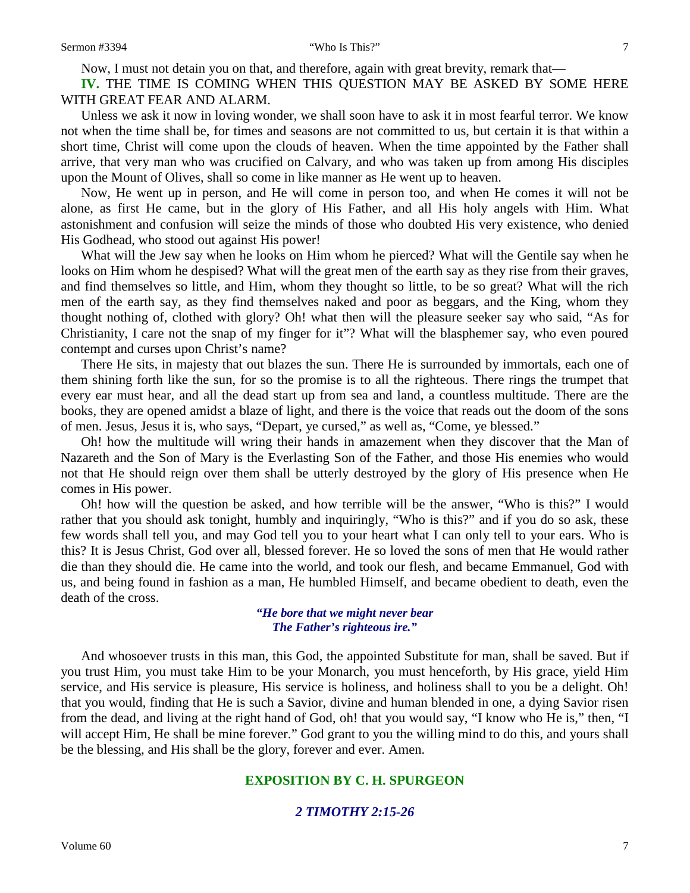Now, I must not detain you on that, and therefore, again with great brevity, remark that—

**IV.** THE TIME IS COMING WHEN THIS QUESTION MAY BE ASKED BY SOME HERE WITH GREAT FEAR AND ALARM.

Unless we ask it now in loving wonder, we shall soon have to ask it in most fearful terror. We know not when the time shall be, for times and seasons are not committed to us, but certain it is that within a short time, Christ will come upon the clouds of heaven. When the time appointed by the Father shall arrive, that very man who was crucified on Calvary, and who was taken up from among His disciples upon the Mount of Olives, shall so come in like manner as He went up to heaven.

Now, He went up in person, and He will come in person too, and when He comes it will not be alone, as first He came, but in the glory of His Father, and all His holy angels with Him. What astonishment and confusion will seize the minds of those who doubted His very existence, who denied His Godhead, who stood out against His power!

What will the Jew say when he looks on Him whom he pierced? What will the Gentile say when he looks on Him whom he despised? What will the great men of the earth say as they rise from their graves, and find themselves so little, and Him, whom they thought so little, to be so great? What will the rich men of the earth say, as they find themselves naked and poor as beggars, and the King, whom they thought nothing of, clothed with glory? Oh! what then will the pleasure seeker say who said, "As for Christianity, I care not the snap of my finger for it"? What will the blasphemer say, who even poured contempt and curses upon Christ's name?

There He sits, in majesty that out blazes the sun. There He is surrounded by immortals, each one of them shining forth like the sun, for so the promise is to all the righteous. There rings the trumpet that every ear must hear, and all the dead start up from sea and land, a countless multitude. There are the books, they are opened amidst a blaze of light, and there is the voice that reads out the doom of the sons of men. Jesus, Jesus it is, who says, "Depart, ye cursed," as well as, "Come, ye blessed."

Oh! how the multitude will wring their hands in amazement when they discover that the Man of Nazareth and the Son of Mary is the Everlasting Son of the Father, and those His enemies who would not that He should reign over them shall be utterly destroyed by the glory of His presence when He comes in His power.

Oh! how will the question be asked, and how terrible will be the answer, "Who is this?" I would rather that you should ask tonight, humbly and inquiringly, "Who is this?" and if you do so ask, these few words shall tell you, and may God tell you to your heart what I can only tell to your ears. Who is this? It is Jesus Christ, God over all, blessed forever. He so loved the sons of men that He would rather die than they should die. He came into the world, and took our flesh, and became Emmanuel, God with us, and being found in fashion as a man, He humbled Himself, and became obedient to death, even the death of the cross.

#### *"He bore that we might never bear The Father's righteous ire."*

And whosoever trusts in this man, this God, the appointed Substitute for man, shall be saved. But if you trust Him, you must take Him to be your Monarch, you must henceforth, by His grace, yield Him service, and His service is pleasure, His service is holiness, and holiness shall to you be a delight. Oh! that you would, finding that He is such a Savior, divine and human blended in one, a dying Savior risen from the dead, and living at the right hand of God, oh! that you would say, "I know who He is," then, "I will accept Him, He shall be mine forever." God grant to you the willing mind to do this, and yours shall be the blessing, and His shall be the glory, forever and ever. Amen.

## **EXPOSITION BY C. H. SPURGEON**

## *2 TIMOTHY 2:15-26*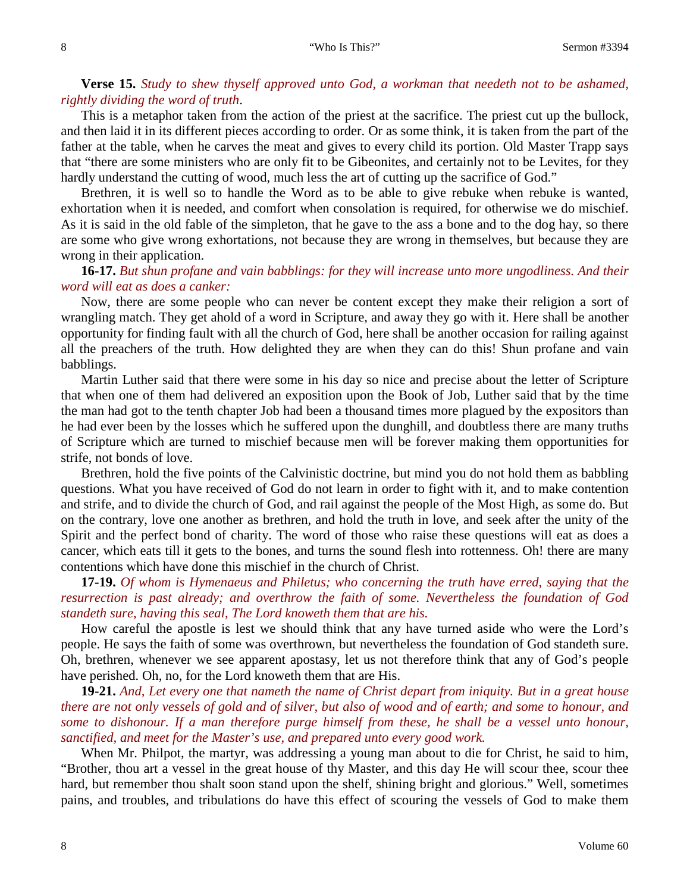#### 8 "Who Is This?" Sermon #3394

## **Verse 15.** *Study to shew thyself approved unto God, a workman that needeth not to be ashamed, rightly dividing the word of truth*.

This is a metaphor taken from the action of the priest at the sacrifice. The priest cut up the bullock, and then laid it in its different pieces according to order. Or as some think, it is taken from the part of the father at the table, when he carves the meat and gives to every child its portion. Old Master Trapp says that "there are some ministers who are only fit to be Gibeonites, and certainly not to be Levites, for they hardly understand the cutting of wood, much less the art of cutting up the sacrifice of God."

Brethren, it is well so to handle the Word as to be able to give rebuke when rebuke is wanted, exhortation when it is needed, and comfort when consolation is required, for otherwise we do mischief. As it is said in the old fable of the simpleton, that he gave to the ass a bone and to the dog hay, so there are some who give wrong exhortations, not because they are wrong in themselves, but because they are wrong in their application.

## **16-17.** *But shun profane and vain babblings: for they will increase unto more ungodliness. And their word will eat as does a canker:*

Now, there are some people who can never be content except they make their religion a sort of wrangling match. They get ahold of a word in Scripture, and away they go with it. Here shall be another opportunity for finding fault with all the church of God, here shall be another occasion for railing against all the preachers of the truth. How delighted they are when they can do this! Shun profane and vain babblings.

Martin Luther said that there were some in his day so nice and precise about the letter of Scripture that when one of them had delivered an exposition upon the Book of Job, Luther said that by the time the man had got to the tenth chapter Job had been a thousand times more plagued by the expositors than he had ever been by the losses which he suffered upon the dunghill, and doubtless there are many truths of Scripture which are turned to mischief because men will be forever making them opportunities for strife, not bonds of love.

Brethren, hold the five points of the Calvinistic doctrine, but mind you do not hold them as babbling questions. What you have received of God do not learn in order to fight with it, and to make contention and strife, and to divide the church of God, and rail against the people of the Most High, as some do. But on the contrary, love one another as brethren, and hold the truth in love, and seek after the unity of the Spirit and the perfect bond of charity. The word of those who raise these questions will eat as does a cancer, which eats till it gets to the bones, and turns the sound flesh into rottenness. Oh! there are many contentions which have done this mischief in the church of Christ.

**17-19.** *Of whom is Hymenaeus and Philetus; who concerning the truth have erred, saying that the resurrection is past already; and overthrow the faith of some. Nevertheless the foundation of God standeth sure, having this seal, The Lord knoweth them that are his.*

How careful the apostle is lest we should think that any have turned aside who were the Lord's people. He says the faith of some was overthrown, but nevertheless the foundation of God standeth sure. Oh, brethren, whenever we see apparent apostasy, let us not therefore think that any of God's people have perished. Oh, no, for the Lord knoweth them that are His.

**19-21.** *And, Let every one that nameth the name of Christ depart from iniquity. But in a great house there are not only vessels of gold and of silver, but also of wood and of earth; and some to honour, and some to dishonour. If a man therefore purge himself from these, he shall be a vessel unto honour, sanctified, and meet for the Master's use, and prepared unto every good work.*

When Mr. Philpot, the martyr, was addressing a young man about to die for Christ, he said to him, "Brother, thou art a vessel in the great house of thy Master, and this day He will scour thee, scour thee hard, but remember thou shalt soon stand upon the shelf, shining bright and glorious." Well, sometimes pains, and troubles, and tribulations do have this effect of scouring the vessels of God to make them